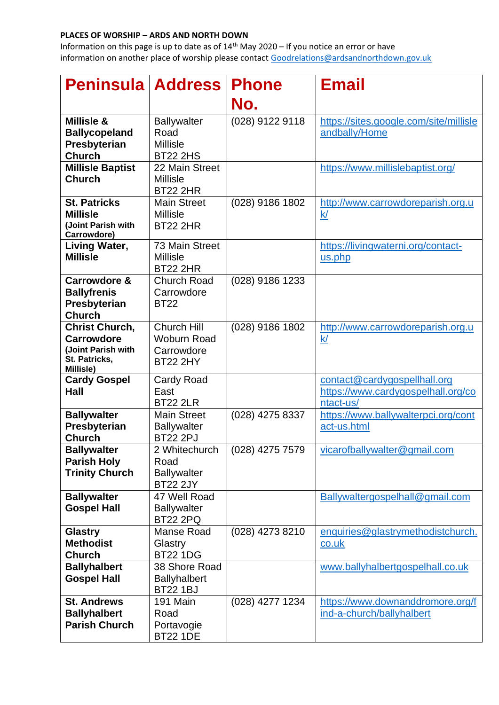## **PLACES OF WORSHIP – ARDS AND NORTH DOWN**

Information on this page is up to date as of  $14<sup>th</sup>$  May 2020 – If you notice an error or have information on another place of worship please contact [Goodrelations@ardsandnorthdown.gov.uk](mailto:Goodrelations@ardsandnorthdown.gov.uk)

| <b>Peninsula Address</b>                                                                       |                                                                    | <b>Phone</b>    | <b>Email</b>                                                                    |
|------------------------------------------------------------------------------------------------|--------------------------------------------------------------------|-----------------|---------------------------------------------------------------------------------|
|                                                                                                |                                                                    | No.             |                                                                                 |
| Millisle &<br><b>Ballycopeland</b><br>Presbyterian<br><b>Church</b>                            | <b>Ballywalter</b><br>Road<br><b>Millisle</b><br><b>BT22 2HS</b>   | (028) 9122 9118 | https://sites.google.com/site/millisle<br>andbally/Home                         |
| <b>Millisle Baptist</b><br><b>Church</b>                                                       | 22 Main Street<br><b>Millisle</b><br><b>BT22 2HR</b>               |                 | https://www.millislebaptist.org/                                                |
| <b>St. Patricks</b><br><b>Millisle</b><br>(Joint Parish with<br>Carrowdore)                    | <b>Main Street</b><br><b>Millisle</b><br><b>BT22 2HR</b>           | (028) 9186 1802 | http://www.carrowdoreparish.org.u<br>$\underline{k}$                            |
| <b>Living Water,</b><br><b>Millisle</b>                                                        | 73 Main Street<br><b>Millisle</b><br><b>BT22 2HR</b>               |                 | https://livingwaterni.org/contact-<br>us.php                                    |
| Carrowdore &<br><b>Ballyfrenis</b><br>Presbyterian<br><b>Church</b>                            | <b>Church Road</b><br>Carrowdore<br><b>BT22</b>                    | (028) 9186 1233 |                                                                                 |
| <b>Christ Church,</b><br><b>Carrowdore</b><br>(Joint Parish with<br>St. Patricks,<br>Millisle) | Church Hill<br><b>Woburn Road</b><br>Carrowdore<br><b>BT22 2HY</b> | (028) 9186 1802 | http://www.carrowdoreparish.org.u<br>k/                                         |
| <b>Cardy Gospel</b><br><b>Hall</b>                                                             | Cardy Road<br>East<br><b>BT22 2LR</b>                              |                 | contact@cardygospellhall.org<br>https://www.cardygospelhall.org/co<br>ntact-us/ |
| <b>Ballywalter</b><br>Presbyterian<br><b>Church</b>                                            | <b>Main Street</b><br><b>Ballywalter</b><br><b>BT22 2PJ</b>        | (028) 4275 8337 | https://www.ballywalterpci.org/cont<br>act-us.html                              |
| <b>Ballywalter</b><br><b>Parish Holy</b><br><b>Trinity Church</b>                              | 2 Whitechurch<br>Road<br><b>Ballywalter</b><br><b>BT22 2JY</b>     | (028) 4275 7579 | vicarofballywalter@gmail.com                                                    |
| <b>Ballywalter</b><br><b>Gospel Hall</b>                                                       | 47 Well Road<br><b>Ballywalter</b><br><b>BT22 2PQ</b>              |                 | Ballywaltergospelhall@gmail.com                                                 |
| <b>Glastry</b><br><b>Methodist</b><br><b>Church</b>                                            | Manse Road<br>Glastry<br><b>BT22 1DG</b>                           | (028) 4273 8210 | enquiries@glastrymethodistchurch.<br>co.uk                                      |
| <b>Ballyhalbert</b><br><b>Gospel Hall</b>                                                      | 38 Shore Road<br><b>Ballyhalbert</b><br><b>BT22 1BJ</b>            |                 | www.ballyhalbertgospelhall.co.uk                                                |
| <b>St. Andrews</b><br><b>Ballyhalbert</b><br><b>Parish Church</b>                              | 191 Main<br>Road<br>Portavogie<br><b>BT22 1DE</b>                  | (028) 4277 1234 | https://www.downanddromore.org/f<br>ind-a-church/ballyhalbert                   |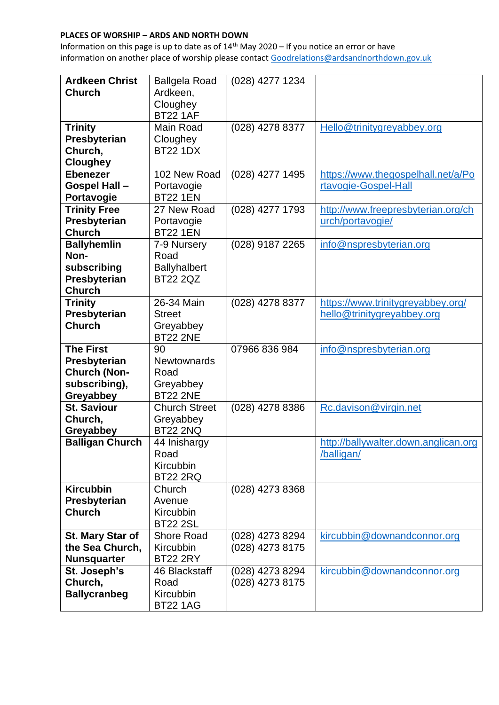## **PLACES OF WORSHIP – ARDS AND NORTH DOWN**

Information on this page is up to date as of  $14<sup>th</sup>$  May 2020 – If you notice an error or have information on another place of worship please contact [Goodrelations@ardsandnorthdown.gov.uk](mailto:Goodrelations@ardsandnorthdown.gov.uk)

| <b>Ardkeen Christ</b>          | <b>Ballgela Road</b> | (028) 4277 1234 |                                      |
|--------------------------------|----------------------|-----------------|--------------------------------------|
| <b>Church</b>                  | Ardkeen,             |                 |                                      |
|                                | Cloughey             |                 |                                      |
|                                | <b>BT22 1AF</b>      |                 |                                      |
| <b>Trinity</b>                 | Main Road            | (028) 4278 8377 | Hello@trinitygreyabbey.org           |
| Presbyterian                   | Cloughey             |                 |                                      |
| Church,                        | <b>BT22 1DX</b>      |                 |                                      |
| <b>Cloughey</b>                |                      |                 |                                      |
| <b>Ebenezer</b>                | 102 New Road         | (028) 4277 1495 | https://www.thegospelhall.net/a/Po   |
| <b>Gospel Hall -</b>           | Portavogie           |                 | rtavogie-Gospel-Hall                 |
| Portavogie                     | <b>BT22 1EN</b>      |                 |                                      |
| <b>Trinity Free</b>            | 27 New Road          | (028) 4277 1793 | http://www.freepresbyterian.org/ch   |
| Presbyterian                   | Portavogie           |                 | urch/portavogie/                     |
| <b>Church</b>                  | <b>BT22 1EN</b>      |                 |                                      |
| <b>Ballyhemlin</b>             | 7-9 Nursery          | (028) 9187 2265 | info@nspresbyterian.org              |
| Non-                           | Road                 |                 |                                      |
| subscribing                    | <b>Ballyhalbert</b>  |                 |                                      |
| Presbyterian                   | <b>BT22 2QZ</b>      |                 |                                      |
| <b>Church</b>                  |                      |                 |                                      |
| <b>Trinity</b>                 | 26-34 Main           | (028) 4278 8377 | https://www.trinitygreyabbey.org/    |
| Presbyterian                   | <b>Street</b>        |                 | hello@trinitygreyabbey.org           |
| <b>Church</b>                  | Greyabbey            |                 |                                      |
|                                | <b>BT22 2NE</b>      |                 |                                      |
|                                |                      |                 |                                      |
| <b>The First</b>               | 90                   | 07966 836 984   | info@nspresbyterian.org              |
| Presbyterian                   | <b>Newtownards</b>   |                 |                                      |
| <b>Church (Non-</b>            | Road                 |                 |                                      |
| subscribing),                  | Greyabbey            |                 |                                      |
| Greyabbey                      | <b>BT22 2NE</b>      |                 |                                      |
| <b>St. Saviour</b>             | <b>Church Street</b> | (028) 4278 8386 | Rc.davison@virgin.net                |
| Church,                        | Greyabbey            |                 |                                      |
| Greyabbey                      | <b>BT22 2NQ</b>      |                 |                                      |
| <b>Balligan Church</b>         | 44 Inishargy         |                 | http://ballywalter.down.anglican.org |
|                                | Road                 |                 | /balligan/                           |
|                                | Kircubbin            |                 |                                      |
|                                | BT22 2RQ             |                 |                                      |
| <b>Kircubbin</b>               | Church               | (028) 4273 8368 |                                      |
| Presbyterian                   | Avenue               |                 |                                      |
| <b>Church</b>                  | Kircubbin            |                 |                                      |
|                                | <b>BT22 2SL</b>      |                 |                                      |
| St. Mary Star of               | <b>Shore Road</b>    | (028) 4273 8294 | kircubbin@downandconnor.org          |
| the Sea Church,                | Kircubbin            | (028) 4273 8175 |                                      |
| <b>Nunsquarter</b>             | <b>BT22 2RY</b>      |                 |                                      |
| St. Joseph's                   | 46 Blackstaff        | (028) 4273 8294 | kircubbin@downandconnor.org          |
| Church,<br><b>Ballycranbeg</b> | Road<br>Kircubbin    | (028) 4273 8175 |                                      |